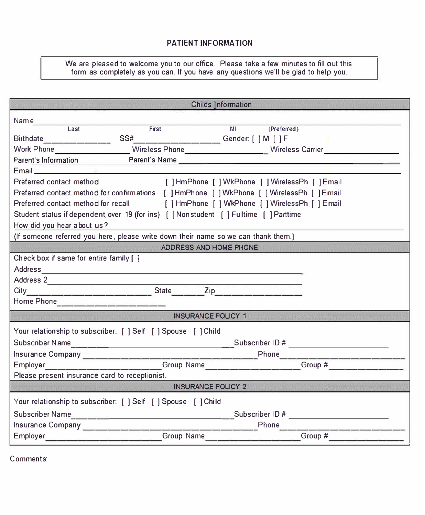#### **PATIENT INFORMATION**

We are pleased to welcome you to our office. Please take a few minutes to fill out this form as completely as you can. If you have any questions we'll be glad to help you.

|                                                                                                                                                                                                                                      |                                                                                                      | <b>Childs Information</b>                |           |  |  |
|--------------------------------------------------------------------------------------------------------------------------------------------------------------------------------------------------------------------------------------|------------------------------------------------------------------------------------------------------|------------------------------------------|-----------|--|--|
|                                                                                                                                                                                                                                      |                                                                                                      |                                          |           |  |  |
| Last                                                                                                                                                                                                                                 | First                                                                                                | M <sub>1</sub><br>(Preferred)            |           |  |  |
| Birthdate                                                                                                                                                                                                                            |                                                                                                      | SS#__________________Gender: [ ] M [ ] F |           |  |  |
|                                                                                                                                                                                                                                      | Work Phone ___________________Wireless Phone_____________________Wireless Carrier __________________ |                                          |           |  |  |
| Parent's Information                                                                                                                                                                                                                 |                                                                                                      |                                          |           |  |  |
| Email <b>Executive Contract Contract Contract Contract Contract Contract Contract Contract Contract Contract Contract Contract Contract Contract Contract Contract Contract Contract Contract Contract Contract Contract Contrac</b> |                                                                                                      |                                          |           |  |  |
| Preferred contact method                                                                                                                                                                                                             | [ ] HmPhone [ ] WkPhone [ ] WirelessPh [ ] Email                                                     |                                          |           |  |  |
| Preferred contact method for confirmations [ ] HmPhone [ ] WkPhone [ ] WirelessPh [ ] Email                                                                                                                                          |                                                                                                      |                                          |           |  |  |
| Preferred contact method for recall [ ] HmPhone [ ] WkPhone { ] WirelessPh [ ] Email                                                                                                                                                 |                                                                                                      |                                          |           |  |  |
| Student status if dependent over 19 (for ins) [ ] Nonstudent [ ] Fulltime [ ] Parttime                                                                                                                                               |                                                                                                      |                                          |           |  |  |
| How did you hear about us?                                                                                                                                                                                                           |                                                                                                      |                                          |           |  |  |
| (If someone referred you here, please write down their name so we can thank them.)                                                                                                                                                   |                                                                                                      |                                          |           |  |  |
| ADDRESS AND HOME PHONE                                                                                                                                                                                                               |                                                                                                      |                                          |           |  |  |
| Check box if same for entire family [ ]                                                                                                                                                                                              |                                                                                                      |                                          |           |  |  |
|                                                                                                                                                                                                                                      |                                                                                                      |                                          |           |  |  |
|                                                                                                                                                                                                                                      |                                                                                                      |                                          |           |  |  |
|                                                                                                                                                                                                                                      |                                                                                                      |                                          |           |  |  |
| Home Phone                                                                                                                                                                                                                           |                                                                                                      |                                          |           |  |  |
| INSURANCE POLICY 1                                                                                                                                                                                                                   |                                                                                                      |                                          |           |  |  |
|                                                                                                                                                                                                                                      | Your relationship to subscriber: [ ] Self [ ] Spouse [ ] Child                                       |                                          |           |  |  |
|                                                                                                                                                                                                                                      |                                                                                                      |                                          |           |  |  |
|                                                                                                                                                                                                                                      |                                                                                                      |                                          |           |  |  |
|                                                                                                                                                                                                                                      |                                                                                                      |                                          |           |  |  |
| Please present insurance card to receptionist.                                                                                                                                                                                       |                                                                                                      |                                          |           |  |  |
| <b>INSURANCE POLICY 2</b>                                                                                                                                                                                                            |                                                                                                      |                                          |           |  |  |
| Your relationship to subscriber: [ ] Self [ ] Spouse [ ] Child                                                                                                                                                                       |                                                                                                      |                                          |           |  |  |
|                                                                                                                                                                                                                                      |                                                                                                      |                                          |           |  |  |
| Insurance Company _____________                                                                                                                                                                                                      |                                                                                                      |                                          |           |  |  |
|                                                                                                                                                                                                                                      | Employer Group Name                                                                                  |                                          | Group $#$ |  |  |
|                                                                                                                                                                                                                                      |                                                                                                      |                                          |           |  |  |

Comments: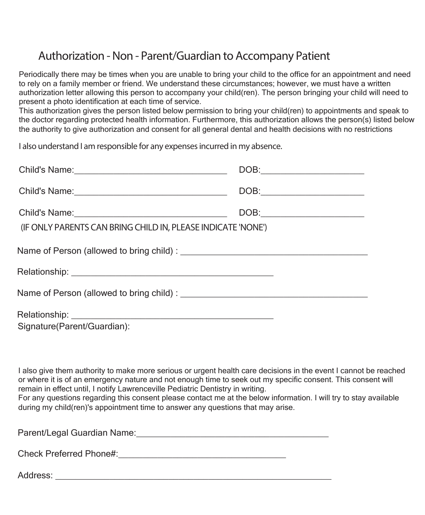## **Authorization - Non - Parent/Guardian to Accompany Patient**

Periodically there may be times when you are unable to bring your child to the office for an appointment and need to rely on a family member or friend. We understand these circumstances; however, we must have a written authorization letter allowing this person to accompany your child(ren). The person bringing your child will need to present a photo identification at each time of service.

This authorization gives the person listed below permission to bring your child(ren) to appointments and speak to the doctor regarding protected health information. Furthermore, this authorization allows the person(s) listed below the authority to give authorization and consent for all general dental and health decisions with no restrictions

**I also understand I am responsible for any expenses incurred in my absence.**

| Child's Name:<br><u> Child's Name:</u>                                                                                | $\begin{picture}(150,10) \put(0,0){\line(1,0){100}} \put(15,0){\line(1,0){100}} \put(15,0){\line(1,0){100}} \put(15,0){\line(1,0){100}} \put(15,0){\line(1,0){100}} \put(15,0){\line(1,0){100}} \put(15,0){\line(1,0){100}} \put(15,0){\line(1,0){100}} \put(15,0){\line(1,0){100}} \put(15,0){\line(1,0){100}} \put(15,0){\line(1,0){100}}$                                      |  |  |  |
|-----------------------------------------------------------------------------------------------------------------------|-----------------------------------------------------------------------------------------------------------------------------------------------------------------------------------------------------------------------------------------------------------------------------------------------------------------------------------------------------------------------------------|--|--|--|
|                                                                                                                       | $\begin{picture}(150,10) \put(0,0){\dashbox{0.5}(10,0){ }} \put(150,0){\circle{10}} \put(150,0){\circle{10}} \put(150,0){\circle{10}} \put(150,0){\circle{10}} \put(150,0){\circle{10}} \put(150,0){\circle{10}} \put(150,0){\circle{10}} \put(150,0){\circle{10}} \put(150,0){\circle{10}} \put(150,0){\circle{10}} \put(150,0){\circle{10}} \put(150,0){\circle{10}} \put(150,$ |  |  |  |
| $\text{DOB:}\qquad \qquad \overbrace{\qquad \qquad }$<br>(IF ONLY PARENTS CAN BRING CHILD IN, PLEASE INDICATE 'NONE') |                                                                                                                                                                                                                                                                                                                                                                                   |  |  |  |
|                                                                                                                       |                                                                                                                                                                                                                                                                                                                                                                                   |  |  |  |
|                                                                                                                       |                                                                                                                                                                                                                                                                                                                                                                                   |  |  |  |
|                                                                                                                       |                                                                                                                                                                                                                                                                                                                                                                                   |  |  |  |
| Signature(Parent/Guardian):                                                                                           |                                                                                                                                                                                                                                                                                                                                                                                   |  |  |  |

I also give them authority to make more serious or urgent health care decisions in the event I cannot be reached or where it is of an emergency nature and not enough time to seek out my specific consent. This consent will remain in effect until, I notify Lawrenceville Pediatric Dentistry in writing. For any questions regarding this consent please contact me at the below information. I will try to stay available during my child(ren)'s appointment time to answer any questions that may arise.

Parent/Legal Guardian Name: et al. and the state of the state of the state of the state of the state of the state of the state of the state of the state of the state of the state of the state of the state of the state of t

Check Preferred Phone#:\_\_\_\_\_\_\_\_\_\_\_\_\_\_\_\_\_\_\_\_\_\_\_\_\_\_\_\_\_\_\_\_\_\_

Address: \_\_\_\_\_\_\_\_\_\_\_\_\_\_\_\_\_\_\_\_\_\_\_\_\_\_\_\_\_\_\_\_\_\_\_\_\_\_\_\_\_\_\_\_\_\_\_\_\_\_\_\_\_\_\_\_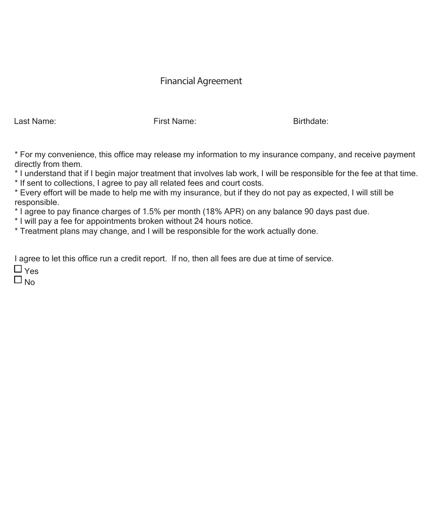### **Financial Agreement**

Last Name: First Name: Birthdate:

\* For my convenience, this office may release my information to my insurance company, and receive payment directly from them.

\* I understand that if I begin major treatment that involves lab work, I will be responsible for the fee at that time.

\* If sent to collections, I agree to pay all related fees and court costs.

\* Every effort will be made to help me with my insurance, but if they do not pay as expected, I will still be responsible.

\* I agree to pay finance charges of 1.5% per month (18% APR) on any balance 90 days past due.

\* I will pay a fee for appointments broken without 24 hours notice.

\* Treatment plans may change, and I will be responsible for the work actually done.

I agree to let this office run a credit report. If no, then all fees are due at time of service.

 $\Box$  Yes  $\Box$  No.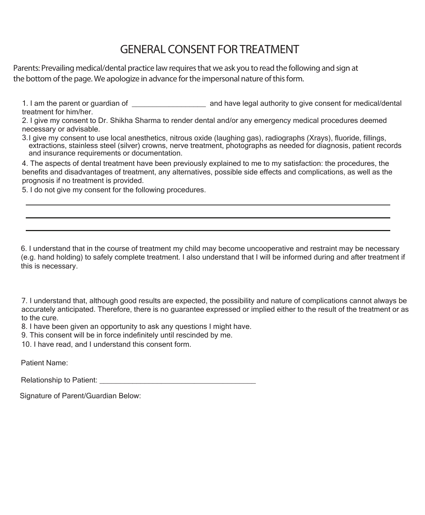## **GENERAL CONSENT FOR TREATMENT**

**Parents: Prevailing medical/dental practice law requires that we ask you to read the following and sign at the bottom of the page. We apologize in advance for the impersonal nature of this form.**

1. I am the parent or guardian of \_\_\_\_\_\_\_\_\_\_\_\_\_\_\_\_\_\_\_\_\_\_ and have legal authority to give consent for medical/dental treatment for him/her.

2. I give my consent to Dr. Shikha Sharma to render dental and/or any emergency medical procedures deemed necessary or advisable.

3. I give my consent to use local anesthetics, nitrous oxide (laughing gas), radiographs (Xrays), fluoride, fillings, extractions, stainless steel (silver) crowns, nerve treatment, photographs as needed for diagnosis, patient records and insurance requirements or documentation.

4. The aspects of dental treatment have been previously explained to me to my satisfaction: the procedures, the benefits and disadvantages of treatment, any alternatives, possible side effects and complications, as well as the prognosis if no treatment is provided.

5. I do not give my consent for the following procedures.

6. I understand that in the course of treatment my child may become uncooperative and restraint may be necessary (e.g. hand holding) to safely complete treatment. I also understand that I will be informed during and after treatment if this is necessary.

7. I understand that, although good results are expected, the possibility and nature of complications cannot always be accurately anticipated. Therefore, there is no guarantee expressed or implied either to the result of the treatment or as to the cure.

8. I have been given an opportunity to ask any questions I might have.

9. This consent will be in force indefinitely until rescinded by me.

10. I have read, and I understand this consent form.

Patient Name:

Relationship to Patient: **Example 20** For all  $\alpha$  and  $\beta$  and  $\beta$  and  $\beta$  and  $\beta$  and  $\beta$  and  $\beta$  and  $\beta$  and  $\beta$  and  $\beta$  and  $\beta$  and  $\beta$  and  $\beta$  and  $\beta$  and  $\beta$  and  $\beta$  and  $\beta$  and  $\beta$  and  $\beta$  and  $\beta$ 

Signature of Parent/Guardian Below: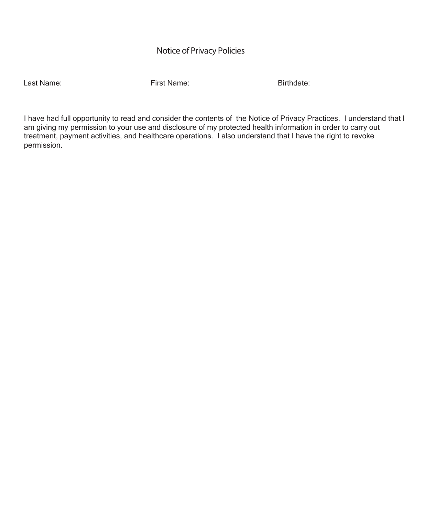### **Notice of Privacy Policies**

Last Name: First Name: Birthdate:

I have had full opportunity to read and consider the contents of the Notice of Privacy Practices. I understand that I am giving my permission to your use and disclosure of my protected health information in order to carry out treatment, payment activities, and healthcare operations. I also understand that I have the right to revoke permission.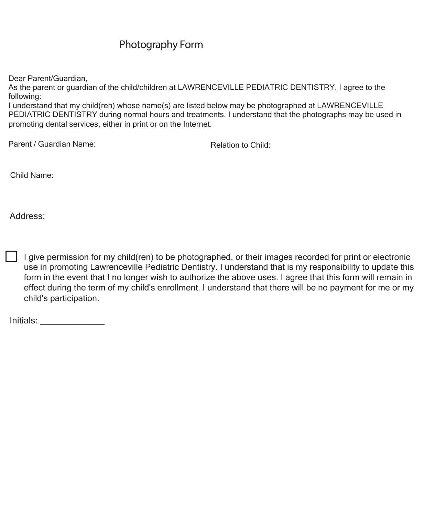### **Photography Form**

Dear Parent/Guardian,

As the parent or guardian of the child/children at LAWRENCEVILLE PEDIATRIC DENTISTRY, I agree to the following:

I understand that my child(ren) whose name(s) are listed below may be photographed at LAWRENCEVILLE PEDIATRIC DENTISTRY during normal hours and treatments. I understand that the photographs may be used in promoting dental services, either in print or on the Internet.

Parent / Guardian Name: The Child: Relation to Child:

Child Name:

Address:

I give permission for my child(ren) to be photographed, or their images recorded for print or electronic use in promoting Lawrenceville Pediatric Dentistry. I understand that is my responsibility to update this form in the event that I no longer wish to authorize the above uses. I agree that this form will remain in effect during the term of my child's enrollment. I understand that there will be no payment for me or my child's participation.

Initials: \_\_\_\_\_\_\_\_\_\_\_\_\_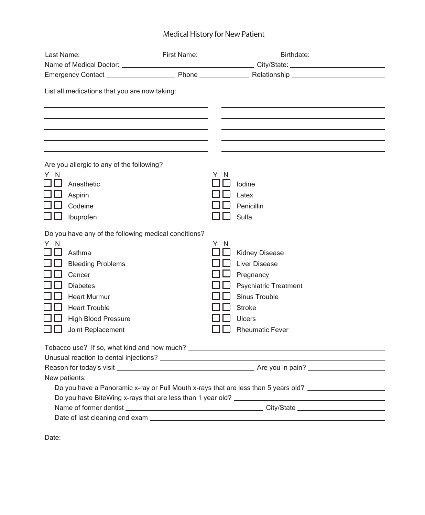### **Medical History for New Patient**

| Last Name:                                                                                                                                                               | First Name: | Birthdate:                                                                                                                                                           |  |  |
|--------------------------------------------------------------------------------------------------------------------------------------------------------------------------|-------------|----------------------------------------------------------------------------------------------------------------------------------------------------------------------|--|--|
|                                                                                                                                                                          |             |                                                                                                                                                                      |  |  |
|                                                                                                                                                                          |             |                                                                                                                                                                      |  |  |
| List all medications that you are now taking:                                                                                                                            |             |                                                                                                                                                                      |  |  |
|                                                                                                                                                                          |             |                                                                                                                                                                      |  |  |
| Are you allergic to any of the following?                                                                                                                                |             |                                                                                                                                                                      |  |  |
| Y N<br>Anesthetic<br>Aspirin<br>Codeine<br>Ibuprofen                                                                                                                     |             | Y N<br>lodine<br>Latex<br>Penicillin<br>Sulfa                                                                                                                        |  |  |
| Do you have any of the following medical conditions?                                                                                                                     |             |                                                                                                                                                                      |  |  |
| Y N<br>Asthma<br><b>Bleeding Problems</b><br>Cancer<br><b>Diabetes</b><br><b>Heart Murmur</b><br><b>Heart Trouble</b><br><b>High Blood Pressure</b><br>Joint Replacement |             | Y.<br>N<br><b>Kidney Disease</b><br><b>Liver Disease</b><br>Pregnancy<br>Psychiatric Treatment<br>Sinus Trouble<br><b>Stroke</b><br>Ulcers<br><b>Rheumatic Fever</b> |  |  |
|                                                                                                                                                                          |             |                                                                                                                                                                      |  |  |
|                                                                                                                                                                          |             |                                                                                                                                                                      |  |  |
| New patients:                                                                                                                                                            |             |                                                                                                                                                                      |  |  |
| Do you have a Panoramic x-ray or Full Mouth x-rays that are less than 5 years old? _________________                                                                     |             |                                                                                                                                                                      |  |  |
| Do you have BiteWing x-rays that are less than 1 year old? _____________________                                                                                         |             |                                                                                                                                                                      |  |  |
|                                                                                                                                                                          |             |                                                                                                                                                                      |  |  |
| Date of last cleaning and exam _                                                                                                                                         |             |                                                                                                                                                                      |  |  |

Date: